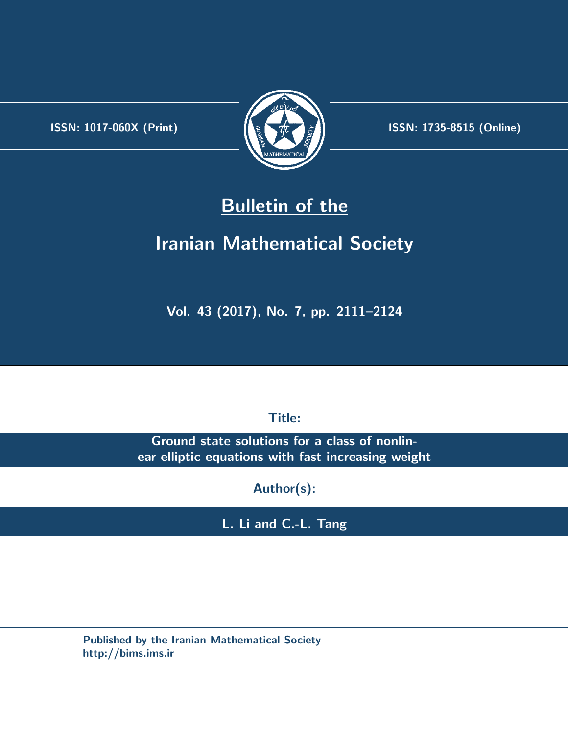.



**ISSN:** 1017-060X (Print)  $\left(\frac{1}{2}\right)$   $\frac{1}{2}$   $\frac{1}{2}$   $\frac{1}{2}$  **ISSN:** 1735-8515 (Online)

## **Bulletin of the**

# **Iranian Mathematical Society**

**Vol. 43 (2017), No. 7, pp. 2111–2124**

**Title:**

**Ground state solutions for a class of nonlinear elliptic equations with fast increasing weight**

**Author(s):**

**L. Li and C.-L. Tang**

**Published by the Iranian Mathematical Society http://bims.ims.ir**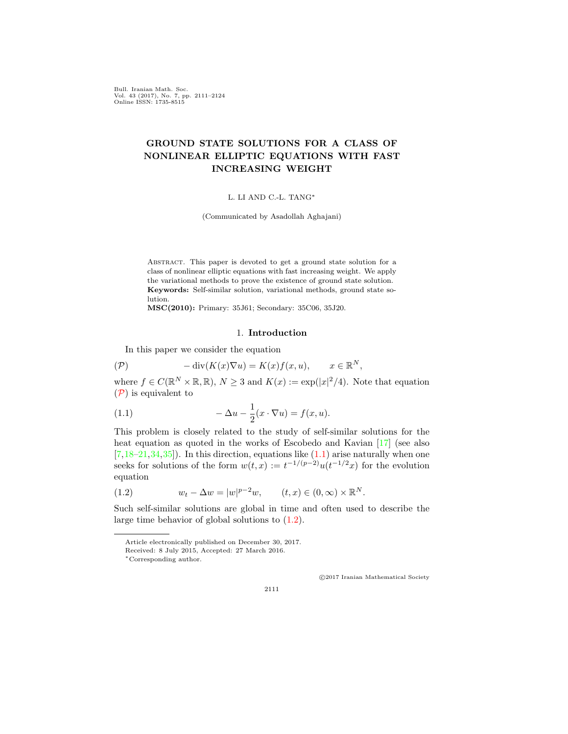Bull. Iranian Math. Soc. Vol. 43 (2017), No. 7, pp. 2111–2124 Online ISSN: 1735-8515

## **GROUND STATE SOLUTIONS FOR A CLASS OF NONLINEAR ELLIPTIC EQUATIONS WITH FAST INCREASING WEIGHT**

### L. LI AND C.-L. TANG*∗*

(Communicated by Asadollah Aghajani)

Abstract. This paper is devoted to get a ground state solution for a class of nonlinear elliptic equations with fast increasing weight. We apply the variational methods to prove the existence of ground state solution. **Keywords:** Self-similar solution, variational methods, ground state solution.

**MSC(2010):** Primary: 35J61; Secondary: 35C06, 35J20.

#### 1. **Introduction**

<span id="page-1-1"></span>In this paper we consider the equation

<span id="page-1-0"></span>
$$
(\mathcal{P}) \qquad \qquad -\operatorname{div}(K(x)\nabla u) = K(x)f(x,u), \qquad x \in \mathbb{R}^N,
$$

where  $f \in C(\mathbb{R}^N \times \mathbb{R}, \mathbb{R})$ ,  $N \geq 3$  and  $K(x) := \exp(|x|^2/4)$ . Note that equation (*[P](#page-1-0)*) is equivalent to

(1.1) 
$$
-\Delta u - \frac{1}{2}(x \cdot \nabla u) = f(x, u).
$$

This problem is closely related to the study of self-similar solutions for the heatequation as quoted in the works of Escobedo and Kavian [[17\]](#page-12-0) (see also  $[7,18-21,34,35]$  $[7,18-21,34,35]$  $[7,18-21,34,35]$  $[7,18-21,34,35]$  $[7,18-21,34,35]$  $[7,18-21,34,35]$  $[7,18-21,34,35]$ .In this direction, equations like  $(1.1)$  $(1.1)$  arise naturally when one seeks for solutions of the form  $w(t, x) := t^{-1/(p-2)}u(t^{-1/2}x)$  for the evolution equation

<span id="page-1-2"></span>(1.2) 
$$
w_t - \Delta w = |w|^{p-2}w, \qquad (t, x) \in (0, \infty) \times \mathbb{R}^N.
$$

Such self-similar solutions are global in time and often used to describe the large time behavior of global solutions to([1.2\)](#page-1-2).

*⃝*c 2017 Iranian Mathematical Society

2111

Article electronically published on December 30, 2017.

Received: 8 July 2015, Accepted: 27 March 2016.

*<sup>∗</sup>*Corresponding author.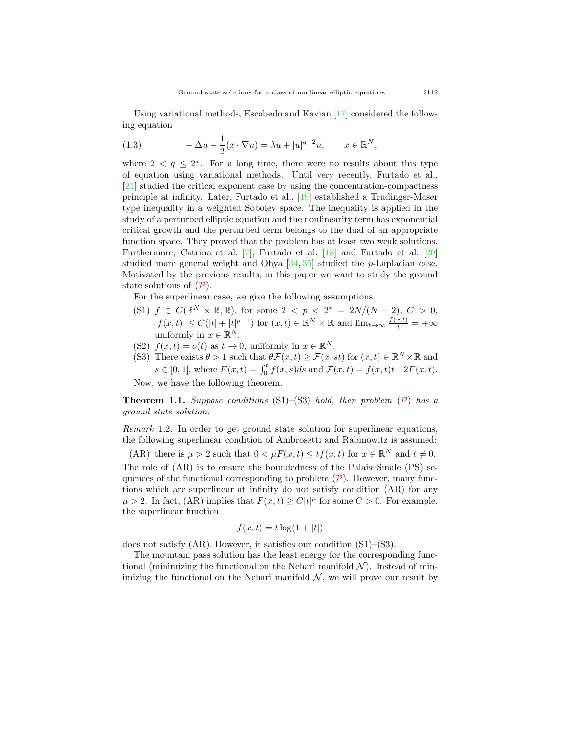Using variational methods, Escobedo and Kavian[[17\]](#page-12-0) considered the following equation

(1.3) 
$$
-\Delta u - \frac{1}{2}(x \cdot \nabla u) = \lambda u + |u|^{q-2}u, \qquad x \in \mathbb{R}^N,
$$

where  $2 < q \leq 2^*$ . For a long time, there were no results about this type of equation using variational methods. Until very recently, Furtado et al., [[21\]](#page-13-0) studied the critical exponent case by using the concentration-compactness principle at infinity. Later, Furtado et al., [\[19](#page-12-3)] established a Trudinger-Moser type inequality in a weighted Sobolev space. The inequality is applied in the study of a perturbed elliptic equation and the nonlinearity term has exponential critical growth and the perturbed term belongs to the dual of an appropriate function space. They proved that the problem has at least two weak solutions. Furthermore, Catrina et al.[[7\]](#page-12-1), Furtado et al. [\[18](#page-12-2)] and Furtado et al.[[20](#page-13-3)] studied more general weight and Ohya[[34,](#page-13-1) [35](#page-13-2)] studied the *p*-Laplacian case. Motivated by the previous results, in this paper we want to study the ground state solutions of  $(\mathcal{P})$  $(\mathcal{P})$  $(\mathcal{P})$ .

For the superlinear case, we give the following assumptions.

- (S1)  $f \in C(\mathbb{R}^N \times \mathbb{R}, \mathbb{R})$ , for some  $2 < p < 2^* = 2N/(N-2)$ ,  $C > 0$ ,  $|f(x,t)| \leq C(|t| + |t|^{p-1})$  for  $(x,t) \in \mathbb{R}^N \times \mathbb{R}$  and  $\lim_{t \to \infty} \frac{f(x,t)}{t} = +\infty$ uniformly in  $x \in \mathbb{R}^N$ .
- (S2)  $f(x,t) = o(t)$  as  $t \to 0$ , uniformly in  $x \in \mathbb{R}^N$ .
- (S3) There exists  $\theta > 1$  such that  $\theta \mathcal{F}(x, t) \geq \mathcal{F}(x, st)$  for  $(x, t) \in \mathbb{R}^N \times \mathbb{R}$  and  $s \in [0, 1]$ , where  $F(x, t) = \int_0^t f(x, s) ds$  and  $\mathcal{F}(x, t) = f(x, t)t - 2F(x, t)$ .

Now, we have the following theorem.

<span id="page-2-0"></span>**Theorem 1.1.** *Suppose conditions* (S1)–(S3) *hold, then problem* (*[P](#page-1-0)*) *has a ground state solution.*

*Remark* 1.2*.* In order to get ground state solution for superlinear equations, the following superlinear condition of Ambrosetti and Rabinowitz is assumed:

(AR) there is  $\mu > 2$  such that  $0 < \mu F(x, t) \leq tf(x, t)$  for  $x \in \mathbb{R}^N$  and  $t \neq 0$ . The role of (AR) is to ensure the boundedness of the Palais–Smale (PS) sequences of the functional corresponding to problem  $(\mathcal{P})$  $(\mathcal{P})$  $(\mathcal{P})$ . However, many functions which are superlinear at infinity do not satisfy condition (AR) for any  $\mu > 2$ . In fact, (AR) implies that  $F(x, t) \ge C|t|^{\mu}$  for some  $C > 0$ . For example, the superlinear function

$$
f(x,t) = t \log(1+|t|)
$$

does not satisfy (AR). However, it satisfies our condition (S1)–(S3).

The mountain pass solution has the least energy for the corresponding functional (minimizing the functional on the Nehari manifold  $\mathcal{N}$ ). Instead of minimizing the functional on the Nehari manifold  $\mathcal{N}$ , we will prove our result by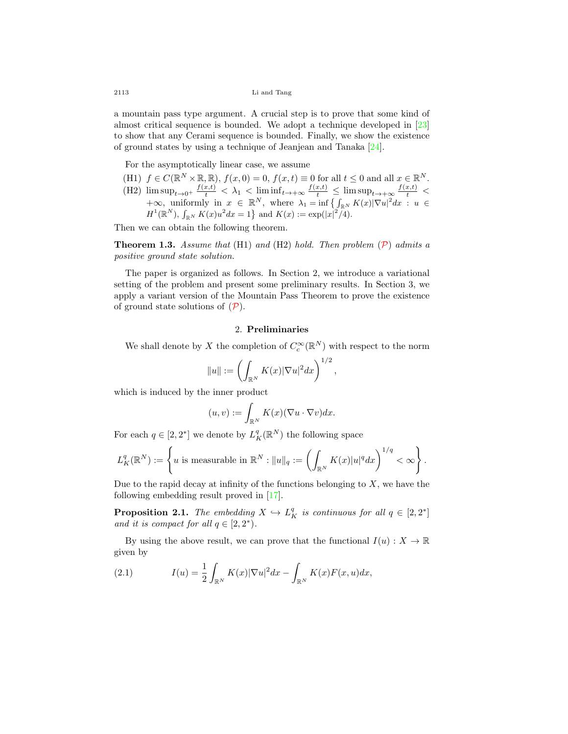a mountain pass type argument. A crucial step is to prove that some kind of almost critical sequence is bounded. We adopt a technique developed in [\[23](#page-13-4)] to show that any Cerami sequence is bounded. Finally, we show the existence of ground states by using a technique of Jeanjean and Tanaka [\[24](#page-13-5)].

For the asymptotically linear case, we assume

(H1)  $f \in C(\mathbb{R}^N \times \mathbb{R}, \mathbb{R})$ ,  $f(x, 0) = 0$ ,  $f(x, t) \equiv 0$  for all  $t \leq 0$  and all  $x \in \mathbb{R}^N$ . (H2)  $\limsup_{t\to 0^+}\frac{f(x,t)}{t}<\lambda_1<\liminf_{t\to+\infty}\frac{f(x,t)}{t}\leq \limsup_{t\to+\infty}\frac{f(x,t)}{t}<$  $+\infty$ , uniformly in  $x \in \mathbb{R}^N$ , where  $\lambda_1 = \inf \left\{ \int_{\mathbb{R}^N} K(x) |\nabla u|^2 dx : u \in \mathbb{R}^N \right\}$  $H^1(\mathbb{R}^N)$ ,  $\int_{\mathbb{R}^N} K(x)u^2 dx = 1$  and  $K(x) := \exp(|x|^2/4)$ .

Then we can obtain the following theorem.

<span id="page-3-1"></span>**Theorem 1.3.** *Assume that* (H1) *and* (H2) *hold. Then problem* (*[P](#page-1-0)*) *admits a positive ground state solution.*

The paper is organized as follows. In Section 2, we introduce a variational setting of the problem and present some preliminary results. In Section 3, we apply a variant version of the Mountain Pass Theorem to prove the existence of ground state solutions of  $(\mathcal{P})$  $(\mathcal{P})$  $(\mathcal{P})$ .

#### 2. **Preliminaries**

We shall denote by *X* the completion of  $C_c^{\infty}(\mathbb{R}^N)$  with respect to the norm

$$
||u|| := \left(\int_{\mathbb{R}^N} K(x)|\nabla u|^2 dx\right)^{1/2},\,
$$

which is induced by the inner product

$$
(u,v) := \int_{\mathbb{R}^N} K(x) (\nabla u \cdot \nabla v) dx.
$$

For each  $q \in [2, 2^*]$  we denote by  $L_K^q(\mathbb{R}^N)$  the following space

$$
L_K^q(\mathbb{R}^N):=\left\{u \text{ is measurable in } \mathbb{R}^N: \|u\|_q:=\left(\int_{\mathbb{R}^N}K(x)|u|^qdx\right)^{1/q}<\infty\right\}.
$$

Due to the rapid decay at infinity of the functions belonging to  $X$ , we have the following embedding result proved in[[17\]](#page-12-0).

<span id="page-3-0"></span>**Proposition 2.1.** *The embedding*  $X \hookrightarrow L_K^q$  *is continuous for all*  $q \in [2, 2^*]$ *and it is compact for all*  $q \in [2, 2^*)$ *.* 

By using the above result, we can prove that the functional  $I(u): X \to \mathbb{R}$ given by

(2.1) 
$$
I(u) = \frac{1}{2} \int_{\mathbb{R}^N} K(x) |\nabla u|^2 dx - \int_{\mathbb{R}^N} K(x) F(x, u) dx,
$$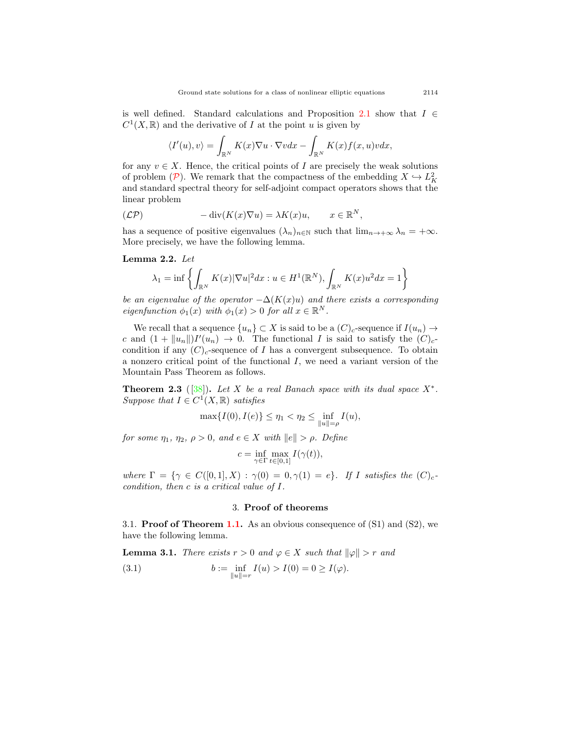is well defined. Standard calculations and Proposition [2.1](#page-3-0) show that *I ∈*  $C^1(X, \mathbb{R})$  and the derivative of *I* at the point *u* is given by

$$
\langle I'(u),v\rangle=\int_{\mathbb{R}^N}K(x)\nabla u\cdot\nabla vdx-\int_{\mathbb{R}^N}K(x)f(x,u)vdx,
$$

for any  $v \in X$ . Hence, the critical points of *I* are precisely the weak solutions of problem  $(P)$  $(P)$  $(P)$ . We remark that the compactness of the embedding  $X \hookrightarrow L_K^2$ and standard spectral theory for self-adjoint compact operators shows that the linear problem

$$
(\mathcal{LP}) \qquad \qquad -\operatorname{div}(K(x)\nabla u) = \lambda K(x)u, \qquad x \in \mathbb{R}^N,
$$

has a sequence of positive eigenvalues  $(\lambda_n)_{n \in \mathbb{N}}$  such that  $\lim_{n \to +\infty} \lambda_n = +\infty$ . More precisely, we have the following lemma.

### <span id="page-4-2"></span>**Lemma 2.2.** *Let*

$$
\lambda_1 = \inf \left\{ \int_{\mathbb{R}^N} K(x) |\nabla u|^2 dx : u \in H^1(\mathbb{R}^N), \int_{\mathbb{R}^N} K(x) u^2 dx = 1 \right\}
$$

*be an eigenvalue of the operator*  $-\Delta(K(x)u)$  *and there exists a corresponding eigenfunction*  $\phi_1(x)$  *with*  $\phi_1(x) > 0$  *for all*  $x \in \mathbb{R}^N$ *.* 

We recall that a sequence  $\{u_n\} \subset X$  is said to be a  $(C)_c$ -sequence if  $I(u_n) \to$ *c* and  $(1 + ||u_n||)I'(u_n) \to 0$ . The functional *I* is said to satisfy the  $(C)_c$ condition if any  $(C)_c$ -sequence of *I* has a convergent subsequence. To obtain a nonzero critical point of the functional *I*, we need a variant version of the Mountain Pass Theorem as follows.

<span id="page-4-3"></span>**Theorem 2.3** ([[38\]](#page-13-6)). Let *X* be a real Banach space with its dual space  $X^*$ . *Suppose that*  $I \in C^1(X, \mathbb{R})$  *satisfies* 

$$
\max\{I(0), I(e)\} \le \eta_1 < \eta_2 \le \inf_{\|u\|=\rho} I(u),
$$

*for some*  $\eta_1, \eta_2, \rho > 0$ *, and*  $e \in X$  *with*  $||e|| > \rho$ *. Define* 

$$
c = \inf_{\gamma \in \Gamma} \max_{t \in [0,1]} I(\gamma(t)),
$$

*where*  $\Gamma = \{ \gamma \in C([0,1], X) : \gamma(0) = 0, \gamma(1) = e \}$ *. If I* satisfies the  $(C)_{c}$ *condition, then c is a critical value of I.*

#### <span id="page-4-1"></span>3. **Proof of theorems**

3.1. **Proof of Theorem [1.1.](#page-2-0)** As an obvious consequence of (S1) and (S2), we have the following lemma.

<span id="page-4-0"></span>**Lemma 3.1.** *There exists*  $r > 0$  *and*  $\varphi \in X$  *such that*  $\|\varphi\| > r$  *and* 

(3.1) 
$$
b := \inf_{\|u\|=r} I(u) > I(0) = 0 \ge I(\varphi).
$$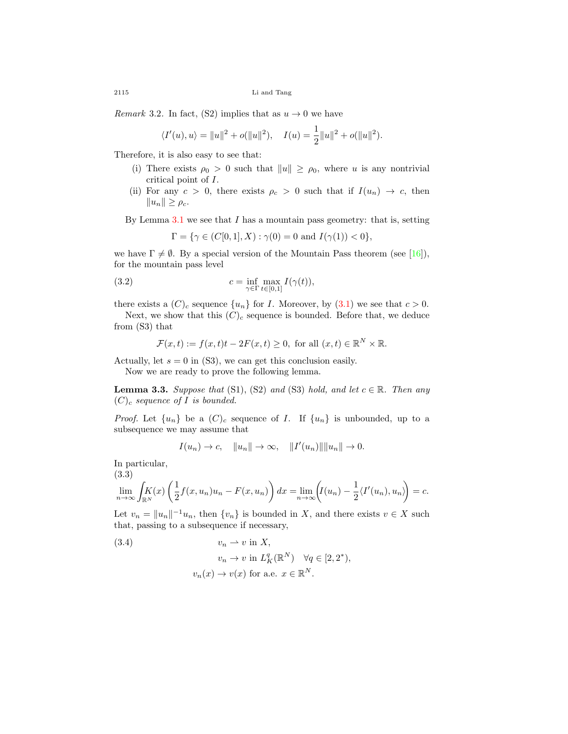<span id="page-5-2"></span>*Remark* 3.2. In fact, (S2) implies that as  $u \to 0$  we have

$$
\langle I'(u), u \rangle = ||u||^2 + o(||u||^2), \quad I(u) = \frac{1}{2} ||u||^2 + o(||u||^2).
$$

Therefore, it is also easy to see that:

- (i) There exists  $\rho_0 > 0$  such that  $||u|| \ge \rho_0$ , where *u* is any nontrivial critical point of *I*.
- (ii) For any  $c > 0$ , there exists  $\rho_c > 0$  such that if  $I(u_n) \rightarrow c$ , then  $||u_n||$  ≥  $\rho_c$ .

By Lemma [3.1](#page-4-0) we see that *I* has a mountain pass geometry: that is, setting

 $\Gamma = \{ \gamma \in (C[0,1], X) : \gamma(0) = 0 \text{ and } I(\gamma(1)) < 0 \},$ 

wehave  $\Gamma \neq \emptyset$ . By a special version of the Mountain Pass theorem (see [[16\]](#page-12-4)), for the mountain pass level

(3.2) 
$$
c = \inf_{\gamma \in \Gamma} \max_{t \in [0,1]} I(\gamma(t)),
$$

thereexists a  $(C)_c$  sequence  $\{u_n\}$  for *I*. Moreover, by  $(3.1)$  $(3.1)$  we see that  $c > 0$ .

Next, we show that this  $(C)<sub>c</sub>$  sequence is bounded. Before that, we deduce from (S3) that

$$
\mathcal{F}(x,t) := f(x,t)t - 2F(x,t) \ge 0, \text{ for all } (x,t) \in \mathbb{R}^N \times \mathbb{R}.
$$

Actually, let  $s = 0$  in (S3), we can get this conclusion easily.

Now we are ready to prove the following lemma.

<span id="page-5-3"></span>**Lemma 3.3.** *Suppose that* (S1), (S2) *and* (S3) *hold, and let*  $c \in \mathbb{R}$ *. Then any*  $(C)<sub>c</sub> sequence of *I* is bounded.$ 

*Proof.* Let  $\{u_n\}$  be a  $(C)_c$  sequence of *I*. If  $\{u_n\}$  is unbounded, up to a subsequence we may assume that

$$
I(u_n) \to c, \quad ||u_n|| \to \infty, \quad ||I'(u_n)|| ||u_n|| \to 0.
$$

In particular,

(3.3)

<span id="page-5-1"></span>
$$
\lim_{n \to \infty} \int_{\mathbb{R}^N} K(x) \left( \frac{1}{2} f(x, u_n) u_n - F(x, u_n) \right) dx = \lim_{n \to \infty} \left( I(u_n) - \frac{1}{2} \langle I'(u_n), u_n \rangle \right) = c.
$$

Let  $v_n = ||u_n||^{-1}u_n$ , then  $\{v_n\}$  is bounded in *X*, and there exists  $v \in X$  such that, passing to a subsequence if necessary,

<span id="page-5-0"></span>(3.4) 
$$
v_n \rightharpoonup v \text{ in } X,
$$

$$
v_n \to v \text{ in } L_K^q(\mathbb{R}^N) \quad \forall q \in [2, 2^*),
$$

$$
v_n(x) \to v(x) \text{ for a.e. } x \in \mathbb{R}^N.
$$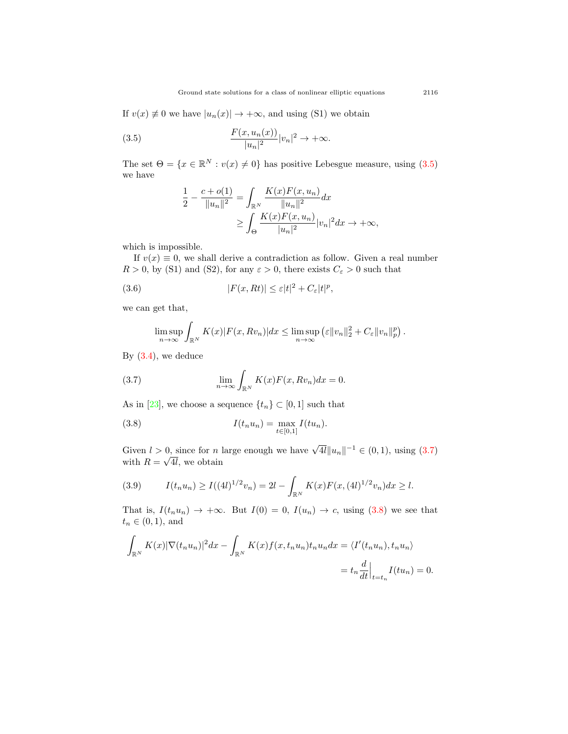If  $v(x) \neq 0$  we have  $|u_n(x)| \to +\infty$ , and using (S1) we obtain

(3.5) 
$$
\frac{F(x, u_n(x))}{|u_n|^2}|v_n|^2 \to +\infty.
$$

Theset  $\Theta = \{x \in \mathbb{R}^N : v(x) \neq 0\}$  has positive Lebesgue measure, using ([3.5](#page-6-0)) we have

<span id="page-6-0"></span>
$$
\frac{1}{2} - \frac{c + o(1)}{\|u_n\|^2} = \int_{\mathbb{R}^N} \frac{K(x)F(x, u_n)}{\|u_n\|^2} dx
$$
  
\n
$$
\geq \int_{\Theta} \frac{K(x)F(x, u_n)}{|u_n|^2} |v_n|^2 dx \to +\infty,
$$

which is impossible.

If  $v(x) \equiv 0$ , we shall derive a contradiction as follow. Given a real number *R* > 0, by (S1) and (S2), for any  $\varepsilon$  > 0, there exists  $C_{\varepsilon}$  > 0 such that

(3.6) 
$$
|F(x, Rt)| \leq \varepsilon |t|^2 + C_{\varepsilon} |t|^p,
$$

we can get that,

<span id="page-6-1"></span>
$$
\limsup_{n\to\infty}\int_{\mathbb{R}^N}K(x)|F(x,Rv_n)|dx\leq \limsup_{n\to\infty}\left(\varepsilon\|v_n\|_2^2+C_{\varepsilon}\|v_n\|_p^p\right).
$$

By $(3.4)$  $(3.4)$  $(3.4)$ , we deduce

(3.7) 
$$
\lim_{n \to \infty} \int_{\mathbb{R}^N} K(x) F(x, R v_n) dx = 0.
$$

As in [\[23](#page-13-4)], we choose a sequence  $\{t_n\} \subset [0,1]$  such that

<span id="page-6-2"></span>(3.8) 
$$
I(t_n u_n) = \max_{t \in [0,1]} I(t u_n).
$$

Given $l > 0$ , since for *n* large enough we have  $\sqrt{4l} ||u_n||^{-1} \in (0,1)$ , using ([3.7](#page-6-1)) with  $R = \sqrt{4l}$ , we obtain

$$
(3.9) \tI(t_n u_n) \ge I((4l)^{1/2}v_n) = 2l - \int_{\mathbb{R}^N} K(x)F(x,(4l)^{1/2}v_n)dx \ge l.
$$

Thatis,  $I(t_nu_n) \rightarrow +\infty$ . But  $I(0) = 0$ ,  $I(u_n) \rightarrow c$ , using ([3.8\)](#page-6-2) we see that  $t_n \in (0,1)$ , and

$$
\int_{\mathbb{R}^N} K(x) |\nabla(t_n u_n)|^2 dx - \int_{\mathbb{R}^N} K(x) f(x, t_n u_n) t_n u_n dx = \langle I'(t_n u_n), t_n u_n \rangle
$$
  
=  $t_n \frac{d}{dt} \Big|_{t=t_n} I(t u_n) = 0.$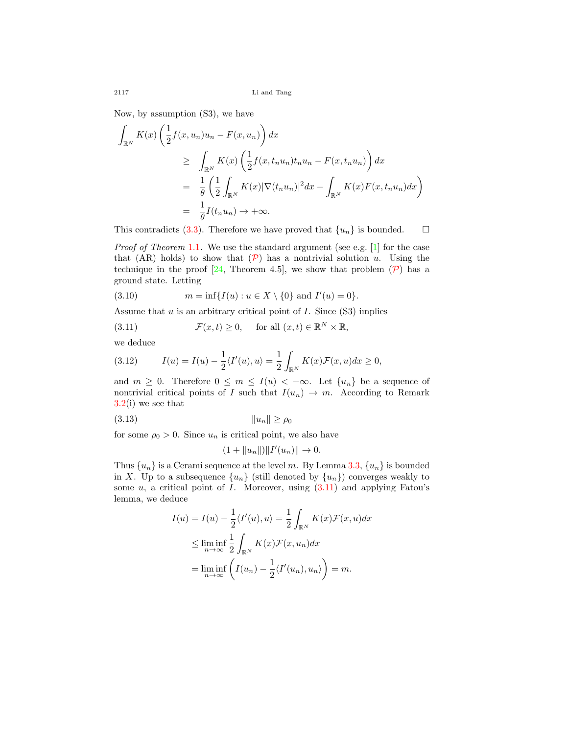Now, by assumption (S3), we have

$$
\int_{\mathbb{R}^N} K(x) \left( \frac{1}{2} f(x, u_n) u_n - F(x, u_n) \right) dx
$$
\n
$$
\geq \int_{\mathbb{R}^N} K(x) \left( \frac{1}{2} f(x, t_n u_n) t_n u_n - F(x, t_n u_n) \right) dx
$$
\n
$$
= \frac{1}{\theta} \left( \frac{1}{2} \int_{\mathbb{R}^N} K(x) |\nabla (t_n u_n)|^2 dx - \int_{\mathbb{R}^N} K(x) F(x, t_n u_n) dx \right)
$$
\n
$$
= \frac{1}{\theta} I(t_n u_n) \to +\infty.
$$

Thiscontradicts ([3.3\)](#page-5-1). Therefore we have proved that  $\{u_n\}$  is bounded.  $\Box$ 

*Proofof Theorem* [1.1](#page-2-0). We use the standard argument (see e.g. [[1](#page-12-5)] for the case that  $(AR)$  holds) to show that  $(P)$  $(P)$  $(P)$  has a nontrivial solution *u*. Using the technique in the proof  $[24,$  Theorem 4.5], we show that problem  $(\mathcal{P})$  $(\mathcal{P})$  $(\mathcal{P})$  has a ground state. Letting

(3.10) 
$$
m = \inf \{ I(u) : u \in X \setminus \{0\} \text{ and } I'(u) = 0 \}.
$$

Assume that *u* is an arbitrary critical point of *I*. Since (S3) implies

<span id="page-7-0"></span>(3.11) 
$$
\mathcal{F}(x,t) \geq 0, \quad \text{for all } (x,t) \in \mathbb{R}^N \times \mathbb{R},
$$

we deduce

(3.12) 
$$
I(u) = I(u) - \frac{1}{2} \langle I'(u), u \rangle = \frac{1}{2} \int_{\mathbb{R}^N} K(x) \mathcal{F}(x, u) dx \ge 0,
$$

and  $m \geq 0$ . Therefore  $0 \leq m \leq I(u) < +\infty$ . Let  $\{u_n\}$  be a sequence of nontrivial critical points of *I* such that  $I(u_n) \to m$ . According to Remark [3.2\(](#page-5-2)i) we see that

(3.13) *∥un∥ ≥ ρ*<sup>0</sup>

for some  $\rho_0 > 0$ . Since  $u_n$  is critical point, we also have

$$
(1 + \|u_n\|)\|I'(u_n)\| \to 0.
$$

Thus  $\{u_n\}$  is a Cerami sequence at the level *m*. By Lemma [3.3](#page-5-3),  $\{u_n\}$  is bounded in *X*. Up to a subsequence  $\{u_n\}$  (still denoted by  $\{u_n\}$ ) converges weakly to some $u$ , a critical point of  $I$ . Moreover, using  $(3.11)$  $(3.11)$  $(3.11)$  and applying Fatou's lemma, we deduce

$$
I(u) = I(u) - \frac{1}{2} \langle I'(u), u \rangle = \frac{1}{2} \int_{\mathbb{R}^N} K(x) \mathcal{F}(x, u) dx
$$
  
\n
$$
\leq \liminf_{n \to \infty} \frac{1}{2} \int_{\mathbb{R}^N} K(x) \mathcal{F}(x, u_n) dx
$$
  
\n
$$
= \liminf_{n \to \infty} \left( I(u_n) - \frac{1}{2} \langle I'(u_n), u_n \rangle \right) = m.
$$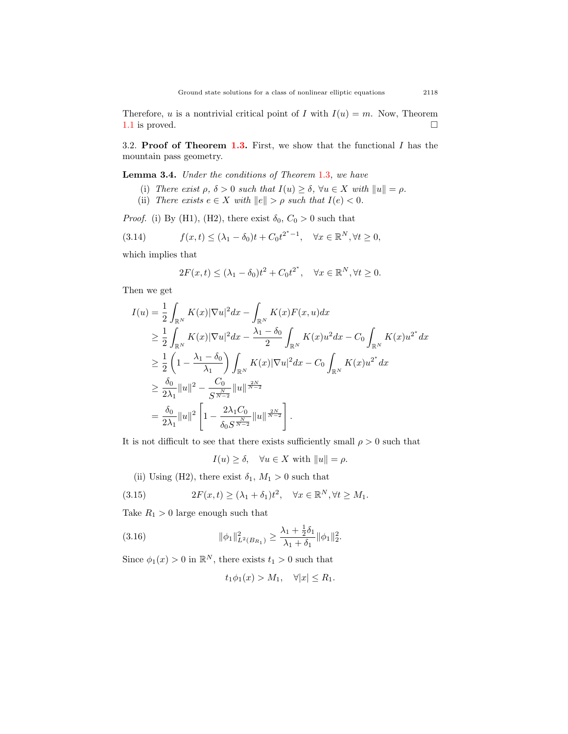Therefore, *u* is a nontrivial critical point of *I* with  $I(u) = m$ . Now, Theorem [1.1](#page-2-0) is proved.  $\Box$ 

3.2. **Proof of Theorem [1.3.](#page-3-1)** First, we show that the functional *I* has the mountain pass geometry.

<span id="page-8-2"></span>**Lemma 3.4.** *Under the conditions of Theorem* [1.3](#page-3-1)*, we have*

- (i) *There exist*  $\rho$ ,  $\delta > 0$  *such that*  $I(u) \geq \delta$ ,  $\forall u \in X$  *with*  $||u|| = \rho$ .
- (ii) *There exists*  $e \in X$  *with*  $||e|| > \rho$  *such that*  $I(e) < 0$ *.*

*Proof.* (i) By (H1), (H2), there exist  $\delta_0$ ,  $C_0 > 0$  such that

(3.14) 
$$
f(x,t) \leq (\lambda_1 - \delta_0)t + C_0t^{2^*-1}, \quad \forall x \in \mathbb{R}^N, \forall t \geq 0,
$$

which implies that

<span id="page-8-3"></span>
$$
2F(x,t) \le (\lambda_1 - \delta_0)t^2 + C_0t^{2^*}, \quad \forall x \in \mathbb{R}^N, \forall t \ge 0.
$$

Then we get

$$
I(u) = \frac{1}{2} \int_{\mathbb{R}^N} K(x) |\nabla u|^2 dx - \int_{\mathbb{R}^N} K(x) F(x, u) dx
$$
  
\n
$$
\geq \frac{1}{2} \int_{\mathbb{R}^N} K(x) |\nabla u|^2 dx - \frac{\lambda_1 - \delta_0}{2} \int_{\mathbb{R}^N} K(x) u^2 dx - C_0 \int_{\mathbb{R}^N} K(x) u^{2^*} dx
$$
  
\n
$$
\geq \frac{1}{2} \left( 1 - \frac{\lambda_1 - \delta_0}{\lambda_1} \right) \int_{\mathbb{R}^N} K(x) |\nabla u|^2 dx - C_0 \int_{\mathbb{R}^N} K(x) u^{2^*} dx
$$
  
\n
$$
\geq \frac{\delta_0}{2\lambda_1} ||u||^2 - \frac{C_0}{S^{\frac{N}{N-2}}} ||u||^{\frac{2N}{N-2}}
$$
  
\n
$$
= \frac{\delta_0}{2\lambda_1} ||u||^2 \left[ 1 - \frac{2\lambda_1 C_0}{\delta_0 S^{\frac{N}{N-2}}} ||u||^{\frac{2N}{N-2}} \right].
$$

It is not difficult to see that there exists sufficiently small  $\rho > 0$  such that

<span id="page-8-0"></span> $I(u) \geq \delta$ ,  $\forall u \in X$  with  $||u|| = \rho$ .

(ii) Using (H2), there exist  $\delta_1$ ,  $M_1 > 0$  such that

(3.15) 
$$
2F(x,t) \ge (\lambda_1 + \delta_1)t^2, \quad \forall x \in \mathbb{R}^N, \forall t \ge M_1.
$$

Take  $R_1 > 0$  large enough such that

(3.16) 
$$
\|\phi_1\|_{L^2(B_{R_1})}^2 \geq \frac{\lambda_1 + \frac{1}{2}\delta_1}{\lambda_1 + \delta_1} \|\phi_1\|_2^2.
$$

Since  $\phi_1(x) > 0$  in  $\mathbb{R}^N$ , there exists  $t_1 > 0$  such that

<span id="page-8-1"></span>
$$
t_1\phi_1(x) > M_1, \quad \forall |x| \le R_1.
$$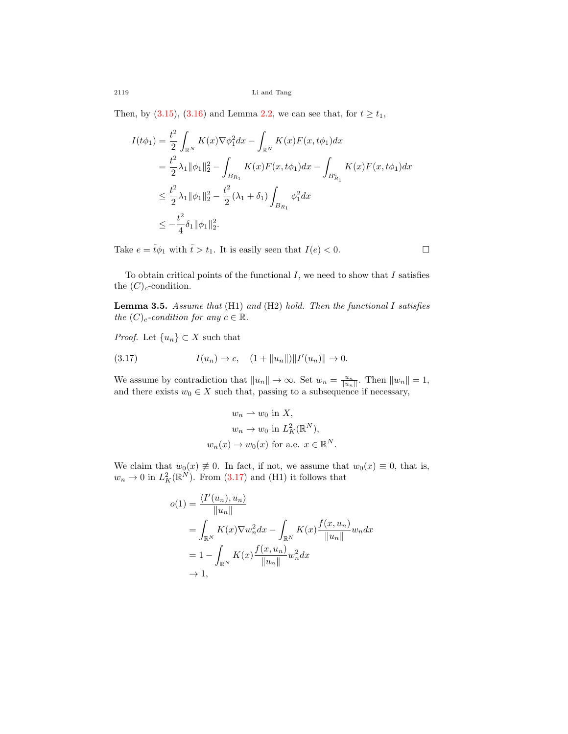Then,by ([3.15](#page-8-0)), [\(3.16\)](#page-8-1) and Lemma [2.2,](#page-4-2) we can see that, for  $t \ge t_1$ ,

$$
I(t\phi_1) = \frac{t^2}{2} \int_{\mathbb{R}^N} K(x) \nabla \phi_1^2 dx - \int_{\mathbb{R}^N} K(x) F(x, t\phi_1) dx
$$
  
\n
$$
= \frac{t^2}{2} \lambda_1 ||\phi_1||_2^2 - \int_{B_{R_1}} K(x) F(x, t\phi_1) dx - \int_{B_{R_1}^c} K(x) F(x, t\phi_1) dx
$$
  
\n
$$
\leq \frac{t^2}{2} \lambda_1 ||\phi_1||_2^2 - \frac{t^2}{2} (\lambda_1 + \delta_1) \int_{B_{R_1}} \phi_1^2 dx
$$
  
\n
$$
\leq -\frac{t^2}{4} \delta_1 ||\phi_1||_2^2.
$$

Take  $e = \tilde{t}\phi_1$  with  $\tilde{t} > t_1$ . It is easily seen that  $I(e) < 0$ .

To obtain critical points of the functional *I*, we need to show that *I* satisfies the  $(C)_c$ -condition.

<span id="page-9-1"></span>**Lemma 3.5.** *Assume that* (H1) *and* (H2) *hold. Then the functional I satisfies the*  $(C)_c$ *-condition for any*  $c \in \mathbb{R}$ *.* 

*Proof.* Let  $\{u_n\} \subset X$  such that

$$
(3.17) \tI(u_n) \to c, \t(1 + \|u_n\|) \|I'(u_n)\| \to 0.
$$

We assume by contradiction that  $||u_n|| \to \infty$ . Set  $w_n = \frac{u_n}{||u_n||}$ . Then  $||w_n|| = 1$ , and there exists  $w_0 \in X$  such that, passing to a subsequence if necessary,

<span id="page-9-0"></span>
$$
w_n \rightharpoonup w_0 \text{ in } X,
$$
  
\n
$$
w_n \to w_0 \text{ in } L_K^2(\mathbb{R}^N),
$$
  
\n
$$
w_n(x) \to w_0(x) \text{ for a.e. } x \in \mathbb{R}^N.
$$

We claim that  $w_0(x) \neq 0$ . In fact, if not, we assume that  $w_0(x) \equiv 0$ , that is,  $w_n \to 0$  in  $L_K^2(\mathbb{R}^N)$ . From [\(3.17\)](#page-9-0) and (H1) it follows that

$$
o(1) = \frac{\langle I'(u_n), u_n \rangle}{\|u_n\|}
$$
  
= 
$$
\int_{\mathbb{R}^N} K(x) \nabla w_n^2 dx - \int_{\mathbb{R}^N} K(x) \frac{f(x, u_n)}{\|u_n\|} w_n dx
$$
  
= 
$$
1 - \int_{\mathbb{R}^N} K(x) \frac{f(x, u_n)}{\|u_n\|} w_n^2 dx
$$
  

$$
\to 1,
$$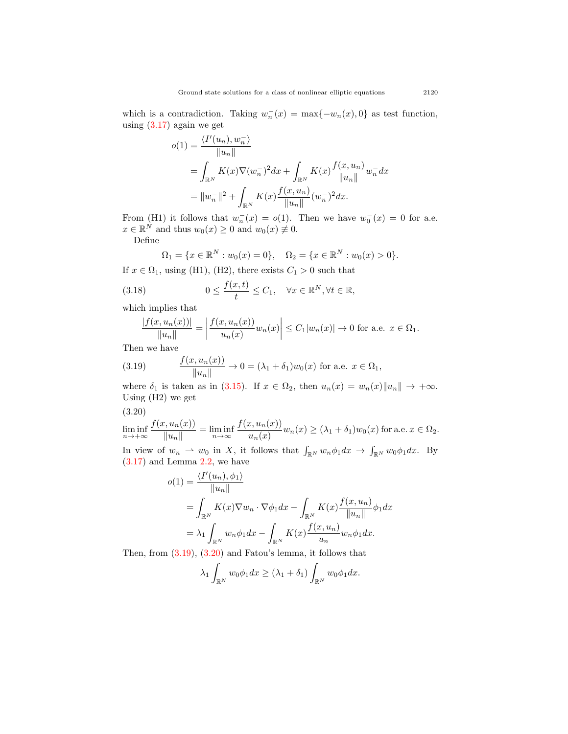which is a contradiction. Taking  $w_n^-(x) = \max\{-w_n(x), 0\}$  as test function, using  $(3.17)$  again we get

$$
o(1) = \frac{\langle I'(u_n), w_n^{-} \rangle}{\|u_n\|}
$$
  
= 
$$
\int_{\mathbb{R}^N} K(x) \nabla (w_n^{-})^2 dx + \int_{\mathbb{R}^N} K(x) \frac{f(x, u_n)}{\|u_n\|} w_n^{-} dx
$$
  
= 
$$
\|w_n^{-}\|^2 + \int_{\mathbb{R}^N} K(x) \frac{f(x, u_n)}{\|u_n\|} (w_n^{-})^2 dx.
$$

From (H1) it follows that  $w_n^{-}(x) = o(1)$ . Then we have  $w_0^{-}(x) = 0$  for a.e.  $x \in \mathbb{R}^N$  and thus  $w_0(x) \ge 0$  and  $w_0(x) \neq 0$ .

Define

$$
\Omega_1 = \{x \in \mathbb{R}^N : w_0(x) = 0\}, \quad \Omega_2 = \{x \in \mathbb{R}^N : w_0(x) > 0\}.
$$

If  $x \in \Omega_1$ , using (H1), (H2), there exists  $C_1 > 0$  such that

(3.18) 
$$
0 \le \frac{f(x,t)}{t} \le C_1, \quad \forall x \in \mathbb{R}^N, \forall t \in \mathbb{R},
$$

which implies that

<span id="page-10-0"></span>
$$
\frac{|f(x, u_n(x))|}{\|u_n\|} = \left| \frac{f(x, u_n(x))}{u_n(x)} w_n(x) \right| \le C_1 |w_n(x)| \to 0 \text{ for a.e. } x \in \Omega_1.
$$

Then we have

(3.19) 
$$
\frac{f(x, u_n(x))}{\|u_n\|} \to 0 = (\lambda_1 + \delta_1)w_0(x) \text{ for a.e. } x \in \Omega_1,
$$

where  $\delta_1$  is taken as in [\(3.15](#page-8-0)). If  $x \in \Omega_2$ , then  $u_n(x) = w_n(x) ||u_n|| \to +\infty$ . Using (H2) we get

<span id="page-10-1"></span>(3.20)

$$
\liminf_{n \to +\infty} \frac{f(x, u_n(x))}{\|u_n\|} = \liminf_{n \to \infty} \frac{f(x, u_n(x))}{u_n(x)} w_n(x) \ge (\lambda_1 + \delta_1) w_0(x)
$$
 for a.e.  $x \in \Omega_2$ .

In view of  $w_n \rightharpoonup w_0$  in *X*, it follows that  $\int_{\mathbb{R}^N} w_n \phi_1 dx \rightharpoonup \int_{\mathbb{R}^N} w_0 \phi_1 dx$ . By  $(3.17)$  $(3.17)$  and Lemma [2.2,](#page-4-2) we have

$$
o(1) = \frac{\langle I'(u_n), \phi_1 \rangle}{\|u_n\|}
$$
  
= 
$$
\int_{\mathbb{R}^N} K(x) \nabla w_n \cdot \nabla \phi_1 dx - \int_{\mathbb{R}^N} K(x) \frac{f(x, u_n)}{\|u_n\|} \phi_1 dx
$$
  
= 
$$
\lambda_1 \int_{\mathbb{R}^N} w_n \phi_1 dx - \int_{\mathbb{R}^N} K(x) \frac{f(x, u_n)}{u_n} w_n \phi_1 dx.
$$

Then, from [\(3.19](#page-10-0)),([3.20\)](#page-10-1) and Fatou's lemma, it follows that

$$
\lambda_1 \int_{\mathbb{R}^N} w_0 \phi_1 dx \geq (\lambda_1 + \delta_1) \int_{\mathbb{R}^N} w_0 \phi_1 dx.
$$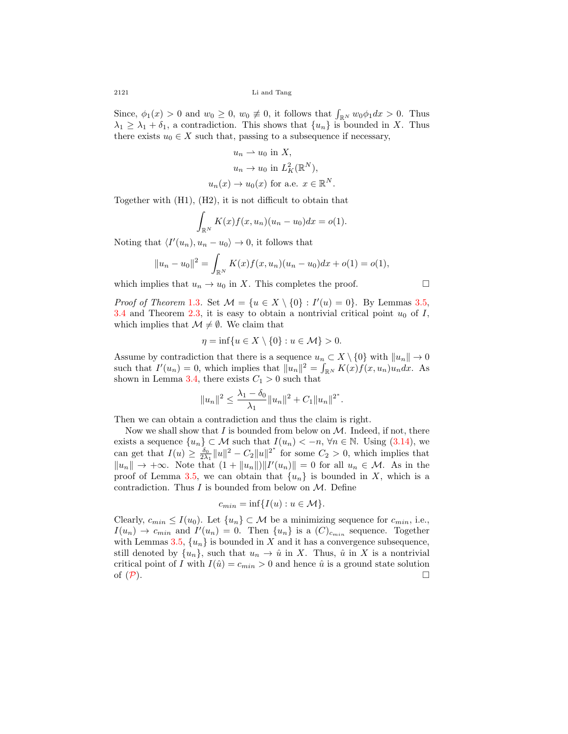Since,  $\phi_1(x) > 0$  and  $w_0 \geq 0$ ,  $w_0 \neq 0$ , it follows that  $\int_{\mathbb{R}^N} w_0 \phi_1 dx > 0$ . Thus  $\lambda_1 \geq \lambda_1 + \delta_1$ , a contradiction. This shows that  $\{u_n\}$  is bounded in *X*. Thus there exists  $u_0 \in X$  such that, passing to a subsequence if necessary,

$$
u_n \rightharpoonup u_0 \text{ in } X,
$$
  
\n
$$
u_n \to u_0 \text{ in } L_K^2(\mathbb{R}^N),
$$
  
\n
$$
u_n(x) \to u_0(x) \text{ for a.e. } x \in \mathbb{R}^N.
$$

Together with (H1), (H2), it is not difficult to obtain that

$$
\int_{\mathbb{R}^N} K(x)f(x,u_n)(u_n-u_0)dx = o(1).
$$

Noting that  $\langle I'(u_n), u_n - u_0 \rangle \to 0$ , it follows that

$$
||u_n - u_0||^2 = \int_{\mathbb{R}^N} K(x)f(x, u_n)(u_n - u_0)dx + o(1) = o(1),
$$

which implies that  $u_n \to u_0$  in *X*. This completes the proof. □

*Proof of Theorem* [1.3](#page-3-1). Set  $\mathcal{M} = \{u \in X \setminus \{0\} : I'(u) = 0\}$ . By Lemmas [3.5](#page-9-1), [3.4](#page-8-2) and Theorem [2.3,](#page-4-3) it is easy to obtain a nontrivial critical point  $u_0$  of  $I$ , which implies that  $\mathcal{M} \neq \emptyset$ . We claim that

$$
\eta = \inf\{u \in X \setminus \{0\} : u \in \mathcal{M}\} > 0.
$$

Assume by contradiction that there is a sequence  $u_n \subset X \setminus \{0\}$  with  $||u_n|| \to 0$ such that  $I'(u_n) = 0$ , which implies that  $||u_n||^2 = \int_{\mathbb{R}^N} K(x)f(x, u_n)u_n dx$ . As shown in Lemma [3.4](#page-8-2), there exists  $C_1 > 0$  such that

$$
||u_n||^2 \leq \frac{\lambda_1 - \delta_0}{\lambda_1} ||u_n||^2 + C_1 ||u_n||^{2^*}.
$$

Then we can obtain a contradiction and thus the claim is right.

Now we shall show that *I* is bounded from below on *M*. Indeed, if not, there existsa sequence  $\{u_n\} \subset \mathcal{M}$  such that  $I(u_n) < -n$ ,  $\forall n \in \mathbb{N}$ . Using ([3.14\)](#page-8-3), we can get that  $I(u) \ge \frac{\delta_0}{2\lambda_1} ||u||^2 - C_2 ||u||^{2^*}$  for some  $C_2 > 0$ , which implies that  $||u_n||$  →  $+\infty$ . Note that  $(1 + ||u_n||)$   $||I'(u_n)||$  = 0 for all  $u_n \in \mathcal{M}$ . As in the proof of Lemma [3.5](#page-9-1), we can obtain that  $\{u_n\}$  is bounded in *X*, which is a contradiction. Thus *I* is bounded from below on *M*. Define

$$
c_{min} = \inf\{I(u) : u \in \mathcal{M}\}.
$$

Clearly,  $c_{min} \leq I(u_0)$ . Let  $\{u_n\} \subset \mathcal{M}$  be a minimizing sequence for  $c_{min}$ , i.e.,  $I(u_n) \to c_{min}$  and  $I'(u_n) = 0$ . Then  $\{u_n\}$  is a  $(C)_{c_{min}}$  sequence. Together with Lemmas [3.5,](#page-9-1)  $\{u_n\}$  is bounded in  $X$  and it has a convergence subsequence, still denoted by  $\{u_n\}$ , such that  $u_n \to \hat{u}$  in *X*. Thus,  $\hat{u}$  in *X* is a nontrivial critical point of *I* with  $I(\hat{u}) = c_{min} > 0$  and hence  $\hat{u}$  is a ground state solution of  $(P)$  $(P)$  $(P)$ .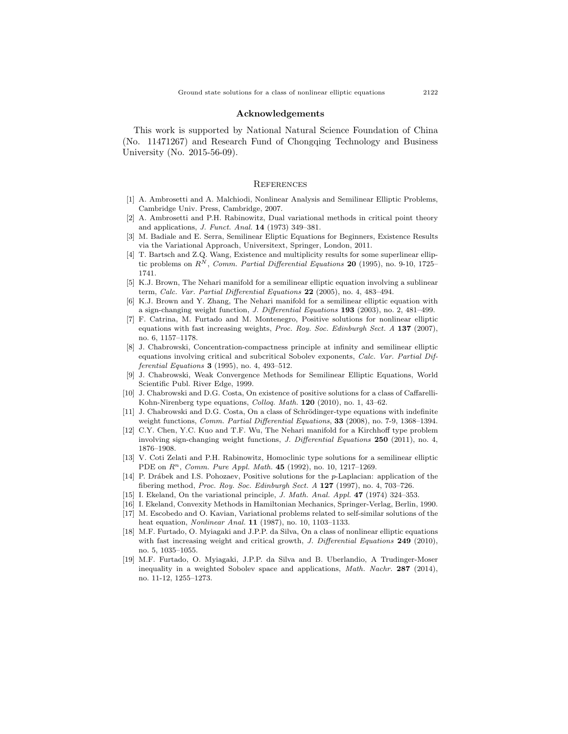#### **Acknowledgements**

This work is supported by National Natural Science Foundation of China (No. 11471267) and Research Fund of Chongqing Technology and Business University (No. 2015-56-09).

#### **REFERENCES**

- <span id="page-12-5"></span>[1] A. Ambrosetti and A. Malchiodi, Nonlinear Analysis and Semilinear Elliptic Problems, Cambridge Univ. Press, Cambridge, 2007.
- [2] A. Ambrosetti and P.H. Rabinowitz, Dual variational methods in critical point theory and applications, *J. Funct. Anal.* **14** (1973) 349–381.
- [3] M. Badiale and E. Serra, Semilinear Eliptic Equations for Beginners, Existence Results via the Variational Approach, Universitext, Springer, London, 2011.
- [4] T. Bartsch and Z.Q. Wang, Existence and multiplicity results for some superlinear elliptic problems on *R<sup>N</sup>* , *Comm. Partial Differential Equations* **20** (1995), no. 9-10, 1725– 1741.
- [5] K.J. Brown, The Nehari manifold for a semilinear elliptic equation involving a sublinear term, *Calc. Var. Partial Differential Equations* **22** (2005), no. 4, 483–494.
- [6] K.J. Brown and Y. Zhang, The Nehari manifold for a semilinear elliptic equation with a sign-changing weight function, *J. Differential Equations* **193** (2003), no. 2, 481–499.
- <span id="page-12-1"></span>[7] F. Catrina, M. Furtado and M. Montenegro, Positive solutions for nonlinear elliptic equations with fast increasing weights, *Proc. Roy. Soc. Edinburgh Sect. A* **137** (2007), no. 6, 1157–1178.
- [8] J. Chabrowski, Concentration-compactness principle at infinity and semilinear elliptic equations involving critical and subcritical Sobolev exponents, *Calc. Var. Partial Differential Equations* **3** (1995), no. 4, 493–512.
- [9] J. Chabrowski, Weak Convergence Methods for Semilinear Elliptic Equations, World Scientific Publ. River Edge, 1999.
- [10] J. Chabrowski and D.G. Costa, On existence of positive solutions for a class of Caffarelli-Kohn-Nirenberg type equations, *Colloq. Math.* **120** (2010), no. 1, 43–62.
- [11] J. Chabrowski and D.G. Costa, On a class of Schrödinger-type equations with indefinite weight functions, *Comm. Partial Differential Equations*, **33** (2008), no. 7-9, 1368–1394.
- [12] C.Y. Chen, Y.C. Kuo and T.F. Wu, The Nehari manifold for a Kirchhoff type problem involving sign-changing weight functions, *J. Differential Equations* **250** (2011), no. 4, 1876–1908.
- [13] V. Coti Zelati and P.H. Rabinowitz, Homoclinic type solutions for a semilinear elliptic PDE on *Rn*, *Comm. Pure Appl. Math.* **45** (1992), no. 10, 1217–1269.
- [14] P. Dr´abek and I.S. Pohozaev, Positive solutions for the *p*-Laplacian: application of the fibering method, *Proc. Roy. Soc. Edinburgh Sect. A* **127** (1997), no. 4, 703–726.
- [15] I. Ekeland, On the variational principle, *J. Math. Anal. Appl.* **47** (1974) 324–353.
- <span id="page-12-4"></span>[16] I. Ekeland, Convexity Methods in Hamiltonian Mechanics, Springer-Verlag, Berlin, 1990.
- <span id="page-12-0"></span>[17] M. Escobedo and O. Kavian, Variational problems related to self-similar solutions of the heat equation, *Nonlinear Anal.* **11** (1987), no. 10, 1103–1133.
- <span id="page-12-2"></span>[18] M.F. Furtado, O. Myiagaki and J.P.P. da Silva, On a class of nonlinear elliptic equations with fast increasing weight and critical growth, *J. Differential Equations* **249** (2010), no. 5, 1035–1055.
- <span id="page-12-3"></span>[19] M.F. Furtado, O. Myiagaki, J.P.P. da Silva and B. Uberlandio, A Trudinger-Moser inequality in a weighted Sobolev space and applications, *Math. Nachr.* **287** (2014), no. 11-12, 1255–1273.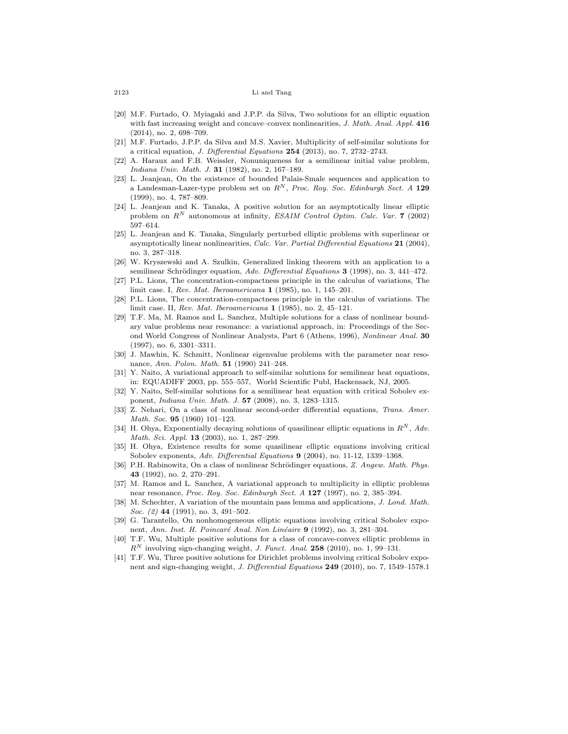- <span id="page-13-3"></span>[20] M.F. Furtado, O. Myiagaki and J.P.P. da Silva, Two solutions for an elliptic equation with fast increasing weight and concave–convex nonlinearities, *J. Math. Anal. Appl.* **416** (2014), no. 2, 698–709.
- <span id="page-13-0"></span>[21] M.F. Furtado, J.P.P. da Silva and M.S. Xavier, Multiplicity of self-similar solutions for a critical equation, *J. Differential Equations* **254** (2013), no. 7, 2732–2743.
- [22] A. Haraux and F.B. Weissler, Nonuniqueness for a semilinear initial value problem, *Indiana Univ. Math. J.* **31** (1982), no. 2, 167–189.
- <span id="page-13-4"></span>[23] L. Jeanjean, On the existence of bounded Palais-Smale sequences and application to a Landesman-Lazer-type problem set on *R<sup>N</sup>* , *Proc. Roy. Soc. Edinburgh Sect. A* **129** (1999), no. 4, 787–809.
- <span id="page-13-5"></span>[24] L. Jeanjean and K. Tanaka, A positive solution for an asymptotically linear elliptic problem on *R<sup>N</sup>* autonomous at infinity, *ESAIM Control Optim. Calc. Var.* **7** (2002) 597–614.
- [25] L. Jeanjean and K. Tanaka, Singularly perturbed elliptic problems with superlinear or asymptotically linear nonlinearities, *Calc. Var. Partial Differential Equations* **21** (2004), no. 3, 287–318.
- [26] W. Kryszewski and A. Szulkin, Generalized linking theorem with an application to a semilinear Schrödinger equation, *Adv. Differential Equations* **3** (1998), no. 3, 441–472.
- [27] P.L. Lions, The concentration-compactness principle in the calculus of variations, The limit case. I, *Rev. Mat. Iberoamericana* **1** (1985), no. 1, 145–201.
- [28] P.L. Lions, The concentration-compactness principle in the calculus of variations. The limit case. II, *Rev. Mat. Iberoamericana* **1** (1985), no. 2, 45–121.
- [29] T.F. Ma, M. Ramos and L. Sanchez, Multiple solutions for a class of nonlinear boundary value problems near resonance: a variational approach, in: Proceedings of the Second World Congress of Nonlinear Analysts, Part 6 (Athens, 1996), *Nonlinear Anal.* **30** (1997), no. 6, 3301–3311.
- [30] J. Mawhin, K. Schmitt, Nonlinear eigenvalue problems with the parameter near resonance, *Ann. Polon. Math.* **51** (1990) 241–248.
- [31] Y. Naito, A variational approach to self-similar solutions for semilinear heat equations, in: EQUADIFF 2003, pp. 555–557, World Scientific Publ, Hackensack, NJ, 2005.
- [32] Y. Naito, Self-similar solutions for a semilinear heat equation with critical Sobolev exponent, *Indiana Univ. Math. J.* **57** (2008), no. 3, 1283–1315.
- [33] Z. Nehari, On a class of nonlinear second-order differential equations, *Trans. Amer. Math. Soc.* **95** (1960) 101–123.
- <span id="page-13-1"></span>[34] H. Ohya, Exponentially decaying solutions of quasilinear elliptic equations in *R<sup>N</sup>* , *Adv. Math. Sci. Appl.* **13** (2003), no. 1, 287–299.
- <span id="page-13-2"></span>[35] H. Ohya, Existence results for some quasilinear elliptic equations involving critical Sobolev exponents, *Adv. Differential Equations* **9** (2004), no. 11-12, 1339–1368.
- [36] P.H. Rabinowitz, On a class of nonlinear Schrödinger equations, *Z. Angew. Math. Phys.* **43** (1992), no. 2, 270–291.
- [37] M. Ramos and L. Sanchez, A variational approach to multiplicity in elliptic problems near resonance, *Proc. Roy. Soc. Edinburgh Sect. A* **127** (1997), no. 2, 385–394.
- <span id="page-13-6"></span>[38] M. Schechter, A variation of the mountain pass lemma and applications, *J. Lond. Math. Soc. (2)* **44** (1991), no. 3, 491–502.
- [39] G. Tarantello, On nonhomogeneous elliptic equations involving critical Sobolev exponent, *Ann. Inst. H. Poincaré Anal. Non Linéaire* **9** (1992), no. 3, 281-304.
- [40] T.F. Wu, Multiple positive solutions for a class of concave-convex elliptic problems in *R<sup>N</sup>* involving sign-changing weight, *J. Funct. Anal.* **258** (2010), no. 1, 99–131.
- [41] T.F. Wu, Three positive solutions for Dirichlet problems involving critical Sobolev exponent and sign-changing weight, *J. Differential Equations* **249** (2010), no. 7, 1549–1578.1